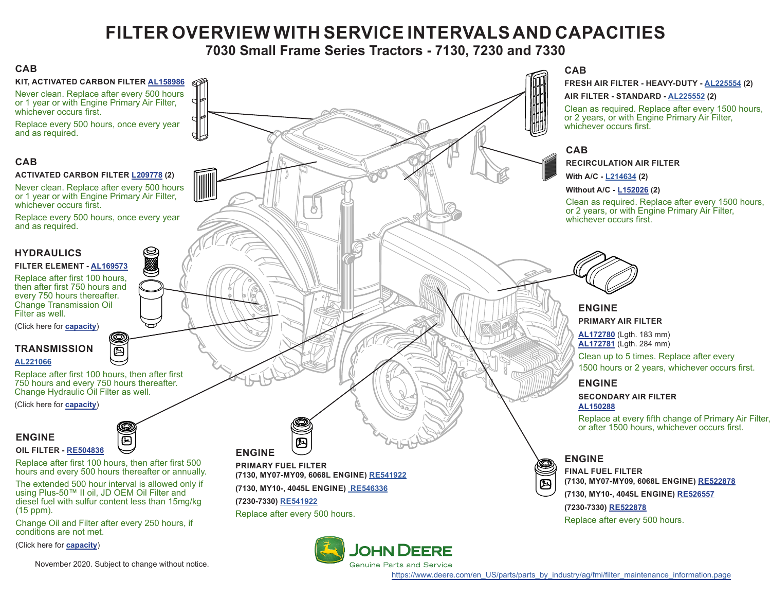# **FILTER OVERVIEW WITH SERVICE INTERVALS AND CAPACITIES**

## **7030 Small Frame Series Tractors - 7130, 7230 and 7330**

### <span id="page-0-0"></span>**CAB**

**KIT, ACTIVATED CARBON FILTER [AL158986](https://jdparts.deere.com/servlet/com.deere.u90.jdparts.view.servlets.partinfocontroller.PartDetails?screenName=JDSearch&&partSearchNumber=AL158986)**

Never clean. Replace after every 500 hours or 1 year or with Engine Primary Air Filter, whichever occurs first.

Replace every 500 hours, once every year and as required.

### **CAB**

#### **ACTIVATED CARBON FILTER [L209778](https://jdparts.deere.com/servlet/com.deere.u90.jdparts.view.servlets.partinfocontroller.PartDetails?screenName=JDSearch&&partSearchNumber=L209778) (2)**

Never clean. Replace after every 500 hours or 1 year or with Engine Primary Air Filter, whichever occurs first.

Replace every 500 hours, once every year and as required.

### **HYDRAULICS**

#### **FILTER ELEMENT - [AL169573](https://jdparts.deere.com/servlet/com.deere.u90.jdparts.view.servlets.partinfocontroller.PartDetails?screenName=JDSearch&&partSearchNumber=AL169573)**

Replace after first 100 hours, then after first 750 hours and every 750 hours thereafter. Change Transmission Oil Filter as well.

(Click here for **[capacity](#page-1-0)**)

### **TRANSMISSION**

#### **[AL221066](https://jdparts.deere.com/servlet/com.deere.u90.jdparts.view.servlets.partinfocontroller.PartDetails?screenName=JDSearch&&partSearchNumber=AL221066)**

Replace after first 100 hours, then after first 750 hours and every 750 hours thereafter. Change Hydraulic Oil Filter as well.

画

(Click here for **[capacity](#page-1-0)**)

# **ENGINE**



Replace after first 100 hours, then after first 500 hours and every 500 hours thereafter or annually.

面

The extended 500 hour interval is allowed only if using Plus-50™ II oil, JD OEM Oil Filter and diesel fuel with sulfur content less than 15mg/kg (15 ppm).

Change Oil and Filter after every 250 hours, if conditions are not met.

(Click here for **[capacity](#page-1-0)**)



**FRESH AIR FILTER - HEAVY-DUTY - [AL225554](https://jdparts.deere.com/servlet/com.deere.u90.jdparts.view.servlets.partinfocontroller.PartDetails?screenName=JDSearch&&partSearchNumber=AL225554) (2)**

**AIR FILTER - STANDARD - [AL225552](https://jdparts.deere.com/servlet/com.deere.u90.jdparts.view.servlets.partinfocontroller.PartDetails?screenName=JDSearch&&partSearchNumber=AL225552) (2)**

Clean as required. Replace after every 1500 hours, or 2 years, or with Engine Primary Air Filter, whichever occurs first.

**RECIRCULATION AIR FILTER**

**With A/C - [L214634](https://jdparts.deere.com/servlet/com.deere.u90.jdparts.view.servlets.partinfocontroller.PartDetails?screenName=JDSearch&&partSearchNumber=L214634) (2)**

#### **Without A/C - [L152026](https://jdparts.deere.com/servlet/com.deere.u90.jdparts.view.servlets.partinfocontroller.PartDetails?screenName=JDSearch&&partSearchNumber=L152026) (2)**

Clean as required. Replace after every 1500 hours, or 2 years, or with Engine Primary Air Filter, whichever occurs first.



### **ENGINE PRIMARY AIR FILTER**

**[AL172780](https://jdparts.deere.com/servlet/com.deere.u90.jdparts.view.servlets.partinfocontroller.PartDetails?screenName=JDSearch&&partSearchNumber=AL172780)** (Lgth. 183 mm) **[AL172781](https://jdparts.deere.com/servlet/com.deere.u90.jdparts.view.servlets.partinfocontroller.PartDetails?screenName=JDSearch&&partSearchNumber=AL172781)** (Lgth. 284 mm)

Clean up to 5 times. Replace after every 1500 hours or 2 years, whichever occurs first.

### **ENGINE**

**SECONDARY AIR FILTER [AL150288](https://jdparts.deere.com/servlet/com.deere.u90.jdparts.view.servlets.partinfocontroller.PartDetails?screenName=JDSearch&&partSearchNumber=AL150288)**

Replace at every fifth change of Primary Air Filter, or after 1500 hours, whichever occurs first.

**FINAL FUEL FILTER (7130, MY07-MY09, 6068L ENGINE) [RE522878](https://jdparts.deere.com/servlet/com.deere.u90.jdparts.view.servlets.partinfocontroller.PartDetails?screenName=JDSearch&&partSearchNumber=RE522878) (7130, MY10-, 4045L ENGINE) [RE526557](https://jdparts.deere.com/servlet/com.deere.u90.jdparts.view.servlets.partinfocontroller.PartDetails?screenName=JDSearch&&partSearchNumber=RE526557)**

### **(7230-7330) [RE522878](https://jdparts.deere.com/servlet/com.deere.u90.jdparts.view.servlets.partinfocontroller.PartDetails?screenName=JDSearch&&partSearchNumber=RE522878)**

Replace after every 500 hours.

November 2020. Subject to change without notice.

Replace after every 500 hours.



[https://www.deere.com/en\\_US/parts/parts\\_by\\_industry/ag/fmi/filter\\_maintenance\\_information.page](https://www.deere.com/en_US/parts/parts_by_industry/ag/fmi/filter_maintenance_information.page)